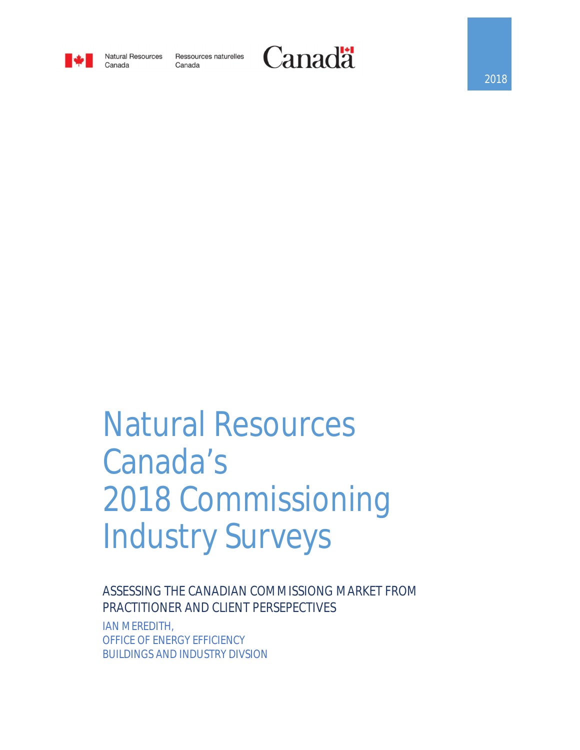

Canada

**Natural Resources** Ressources naturelles Canada



# Natural Resources Canada's 2018 Commissioning Industry Surveys

ASSESSING THE CANADIAN COMMISSIONG MARKET FROM PRACTITIONER AND CLIENT PERSEPECTIVES IAN MEREDITH, OFFICE OF ENERGY EFFICIENCY BUILDINGS AND INDUSTRY DIVSION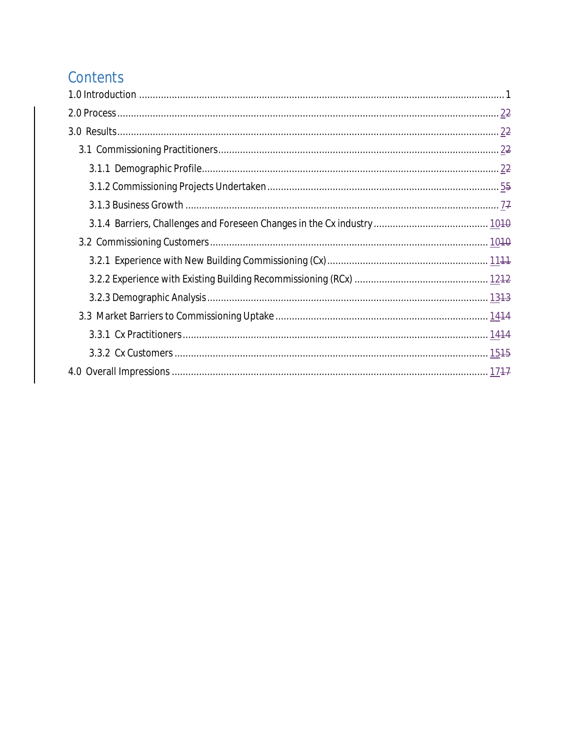# Contents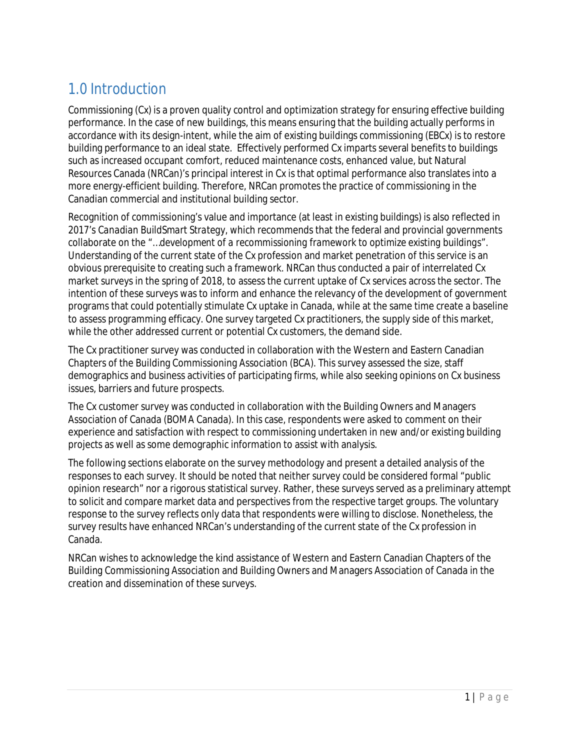# 1.0 Introduction

Commissioning (Cx) is a proven quality control and optimization strategy for ensuring effective building performance. In the case of new buildings, this means ensuring that the building actually performs in accordance with its design-intent, while the aim of existing buildings commissioning (EBCx) is to restore building performance to an ideal state. Effectively performed Cx imparts several benefits to buildings such as increased occupant comfort, reduced maintenance costs, enhanced value, but Natural Resources Canada (NRCan)'s principal interest in Cx is that optimal performance also translates into a more energy-efficient building. Therefore, NRCan promotes the practice of commissioning in the Canadian commercial and institutional building sector.

Recognition of commissioning's value and importance (at least in existing buildings) is also reflected in 2017's *Canadian BuildSmart Strategy*, which recommends that the federal and provincial governments collaborate on the "…*development of a recommissioning framework to optimize existing buildings*". Understanding of the current state of the Cx profession and market penetration of this service is an obvious prerequisite to creating such a framework. NRCan thus conducted a pair of interrelated Cx market surveys in the spring of 2018, to assess the current uptake of Cx services across the sector. The intention of these surveys was to inform and enhance the relevancy of the development of government programs that could potentially stimulate Cx uptake in Canada, while at the same time create a baseline to assess programming efficacy. One survey targeted Cx practitioners, the supply side of this market, while the other addressed current or potential Cx customers, the demand side.

The Cx practitioner survey was conducted in collaboration with the Western and Eastern Canadian Chapters of the Building Commissioning Association (BCA). This survey assessed the size, staff demographics and business activities of participating firms, while also seeking opinions on Cx business issues, barriers and future prospects.

The Cx customer survey was conducted in collaboration with the Building Owners and Managers Association of Canada (BOMA Canada). In this case, respondents were asked to comment on their experience and satisfaction with respect to commissioning undertaken in new and/or existing building projects as well as some demographic information to assist with analysis.

The following sections elaborate on the survey methodology and present a detailed analysis of the responses to each survey. It should be noted that neither survey could be considered formal "public opinion research" nor a rigorous statistical survey. Rather, these surveys served as a preliminary attempt to solicit and compare market data and perspectives from the respective target groups. The voluntary response to the survey reflects only data that respondents were willing to disclose. Nonetheless, the survey results have enhanced NRCan's understanding of the current state of the Cx profession in Canada.

NRCan wishes to acknowledge the kind assistance of Western and Eastern Canadian Chapters of the Building Commissioning Association and Building Owners and Managers Association of Canada in the creation and dissemination of these surveys.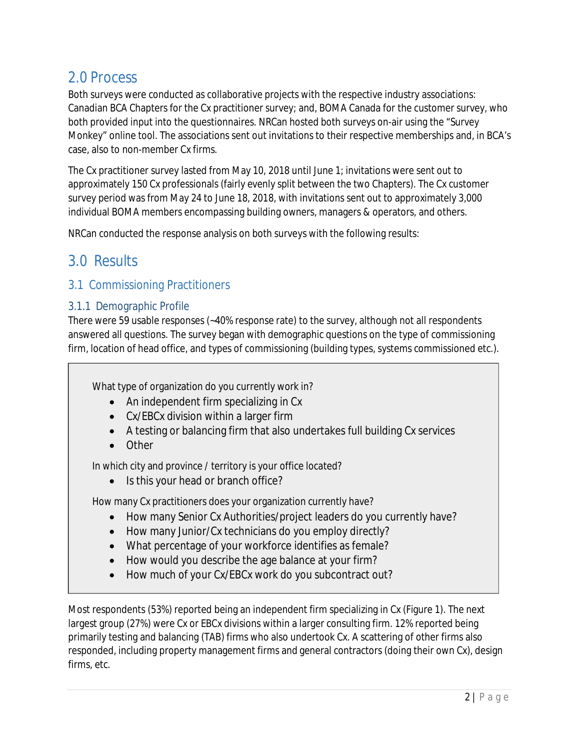## 2.0 Process

Both surveys were conducted as collaborative projects with the respective industry associations: Canadian BCA Chapters for the Cx practitioner survey; and, BOMA Canada for the customer survey, who both provided input into the questionnaires. NRCan hosted both surveys on-air using the "Survey Monkey" online tool. The associations sent out invitations to their respective memberships and, in BCA's case, also to non-member Cx firms.

The Cx practitioner survey lasted from May 10, 2018 until June 1; invitations were sent out to approximately 150 Cx professionals (fairly evenly split between the two Chapters). The Cx customer survey period was from May 24 to June 18, 2018, with invitations sent out to approximately 3,000 individual BOMA members encompassing building owners, managers & operators, and others.

NRCan conducted the response analysis on both surveys with the following results:

## 3.0 Results

## 3.1 Commissioning Practitioners

### 3.1.1 Demographic Profile

There were 59 usable responses (~40% response rate) to the survey, although not all respondents answered all questions. The survey began with demographic questions on the type of commissioning firm, location of head office, and types of commissioning (building types, systems commissioned etc.).

What type of organization do you currently work in?

- An independent firm specializing in Cx
- Cx/EBCx division within a larger firm
- A testing or balancing firm that also undertakes full building Cx services
- Other

In which city and province / territory is your office located?

• Is this your head or branch office?

How many Cx practitioners does your organization currently have?

- How many Senior Cx Authorities/project leaders do you currently have?
- How many Junior/Cx technicians do you employ directly?
- What percentage of your workforce identifies as female?
- How would you describe the age balance at your firm?
- How much of your Cx/EBCx work do you subcontract out?

Most respondents (53%) reported being an independent firm specializing in Cx (Figure 1). The next largest group (27%) were Cx or EBCx divisions within a larger consulting firm. 12% reported being primarily testing and balancing (TAB) firms who also undertook Cx. A scattering of other firms also responded, including property management firms and general contractors (doing their own Cx), design firms, etc.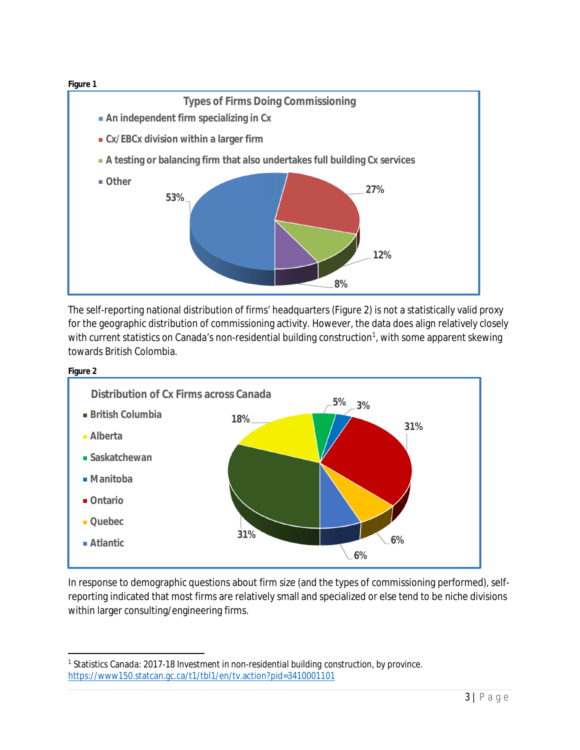

The self-reporting national distribution of firms' headquarters (Figure 2) is not a statistically valid proxy for the geographic distribution of commissioning activity. However, the data does align relatively closely with current statistics on Canada's non-residential building construction<sup>1</sup>, with some apparent skewing towards British Colombia.



In response to demographic questions about firm size (and the types of commissioning performed), selfreporting indicated that most firms are relatively small and specialized or else tend to be niche divisions within larger consulting/engineering firms.

 $\overline{a}$ 1 Statistics Canada: 2017-18 *Investment in non-residential building construction, by province*. https://www150.statcan.gc.ca/t1/tbl1/en/tv.action?pid=3410001101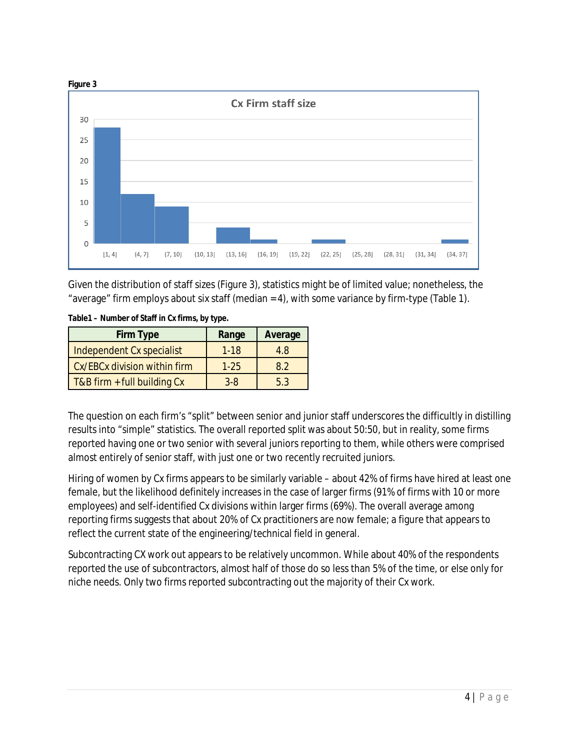

Given the distribution of staff sizes (Figure 3), statistics might be of limited value; nonetheless, the "average" firm employs about six staff (median = 4), with some variance by firm-type (Table 1).

| <b>Firm Type</b>             | Range   | Average |
|------------------------------|---------|---------|
| Independent Cx specialist    | $1-18$  | 4.8     |
| Cx/EBCx division within firm | $1-25$  | 8.2     |
| T&B firm + full building Cx  | $3 - 8$ | 53      |

**Table1 – Number of Staff in Cx firms, by type.**

The question on each firm's "split" between senior and junior staff underscores the difficultly in distilling results into "simple" statistics. The overall reported split was about 50:50, but in reality, some firms reported having one or two senior with several juniors reporting to them, while others were comprised almost entirely of senior staff, with just one or two recently recruited juniors.

Hiring of women by Cx firms appears to be similarly variable – about 42% of firms have hired at least one female, but the likelihood definitely increases in the case of larger firms (91% of firms with 10 or more employees) and self-identified Cx divisions within larger firms (69%). The overall average among reporting firms suggests that about 20% of Cx practitioners are now female; a figure that appears to reflect the current state of the engineering/technical field in general.

Subcontracting CX work out appears to be relatively uncommon. While about 40% of the respondents reported the use of subcontractors, almost half of those do so less than 5% of the time, or else only for niche needs. Only two firms reported subcontracting out the majority of their Cx work.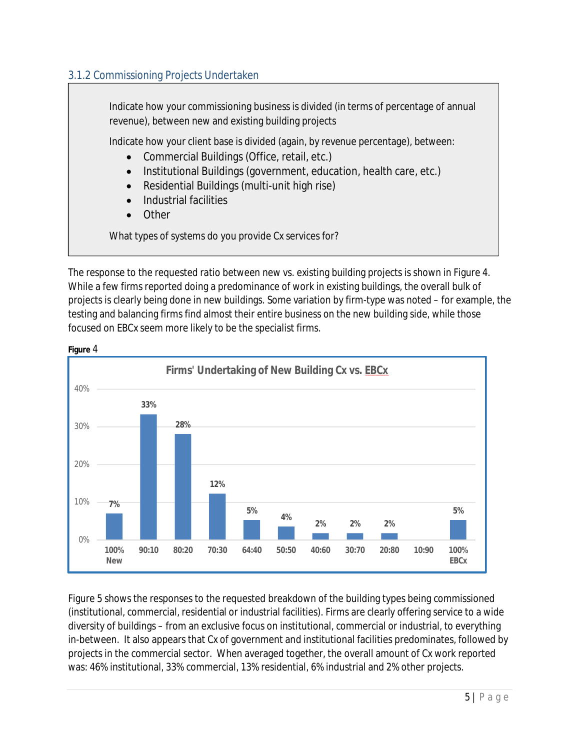## 3.1.2 Commissioning Projects Undertaken

Indicate how your commissioning business is divided (in terms of percentage of annual revenue), between new and existing building projects Indicate how your client base is divided (again, by revenue percentage), between: Commercial Buildings (Office, retail, etc.) • Institutional Buildings (government, education, health care, etc.) Residential Buildings (multi-unit high rise) Industrial facilities Other What types of systems do you provide Cx services for?

The response to the requested ratio between new vs. existing building projects is shown in Figure 4. While a few firms reported doing a predominance of work in existing buildings, the overall bulk of projects is clearly being done in new buildings. Some variation by firm-type was noted – for example, the testing and balancing firms find almost their entire business on the new building side, while those focused on EBCx seem more likely to be the specialist firms.



**Figure** 4

Figure 5 shows the responses to the requested breakdown of the building types being commissioned (institutional, commercial, residential or industrial facilities). Firms are clearly offering service to a wide diversity of buildings – from an exclusive focus on institutional, commercial or industrial, to everything in-between. It also appears that Cx of government and institutional facilities predominates, followed by projects in the commercial sector. When averaged together, the overall amount of Cx work reported was: 46% institutional, 33% commercial, 13% residential, 6% industrial and 2% other projects.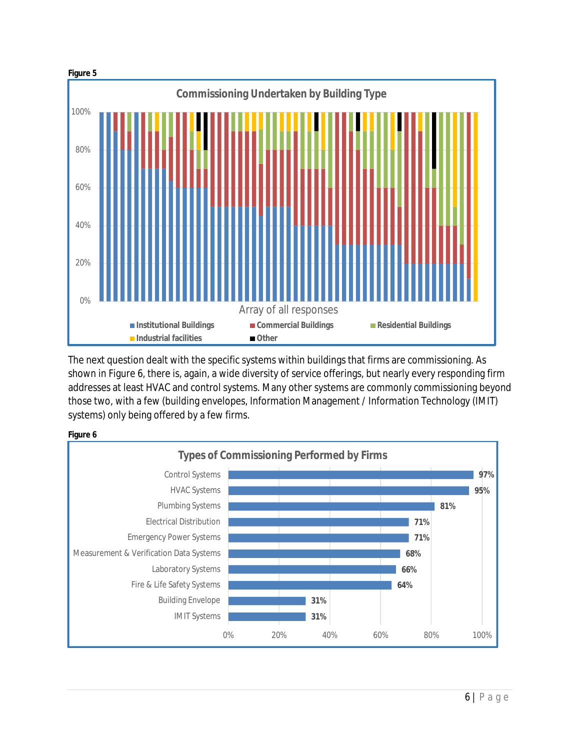

The next question dealt with the specific systems within buildings that firms are commissioning. As shown in Figure 6, there is, again, a wide diversity of service offerings, but nearly every responding firm addresses at least HVAC and control systems. Many other systems are commonly commissioning beyond those two, with a few (building envelopes, Information Management / Information Technology (IMIT) systems) only being offered by a few firms.



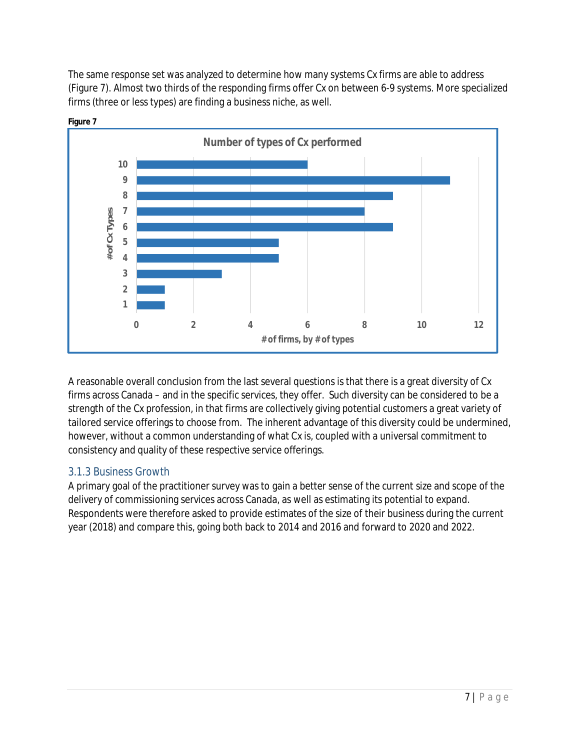The same response set was analyzed to determine how many systems Cx firms are able to address (Figure 7). Almost two thirds of the responding firms offer Cx on between 6-9 systems. More specialized firms (three or less types) are finding a business niche, as well.





A reasonable overall conclusion from the last several questions is that there is a great diversity of Cx firms across Canada – and in the specific services, they offer. Such diversity can be considered to be a strength of the Cx profession, in that firms are collectively giving potential customers a great variety of tailored service offerings to choose from. The inherent advantage of this diversity could be undermined, however, without a common understanding of what Cx is, coupled with a universal commitment to consistency and quality of these respective service offerings.

## 3.1.3 Business Growth

A primary goal of the practitioner survey was to gain a better sense of the current size and scope of the delivery of commissioning services across Canada, as well as estimating its potential to expand. Respondents were therefore asked to provide estimates of the size of their business during the current year (2018) and compare this, going both back to 2014 and 2016 and forward to 2020 and 2022.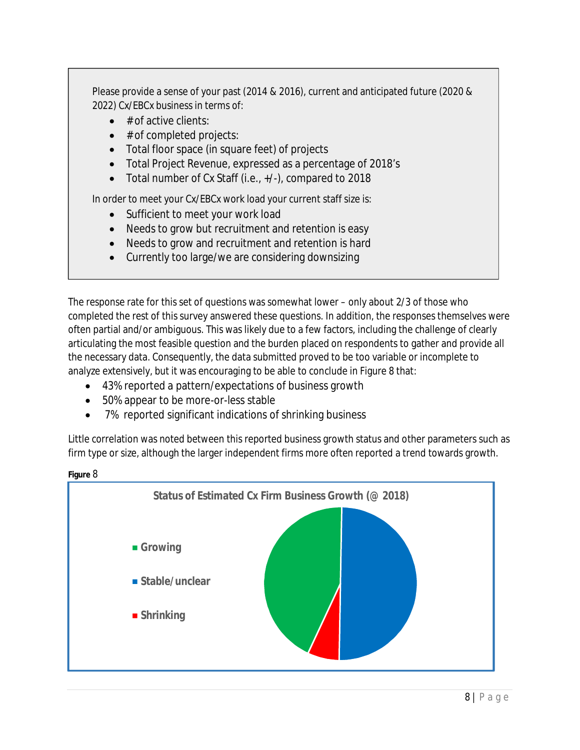Please provide a sense of your past (2014 & 2016), current and anticipated future (2020 & 2022) Cx/EBCx business in terms of:

- $\bullet$  # of active clients:
- $\bullet$  # of completed projects:
- Total floor space (in square feet) of projects
- Total Project Revenue, expressed as a percentage of 2018's
- Total number of Cx Staff (i.e., +/-), compared to 2018

In order to meet your Cx/EBCx work load your current staff size is:

- Sufficient to meet your work load
- Needs to grow but recruitment and retention is easy
- Needs to grow and recruitment and retention is hard
- Currently too large/we are considering downsizing

The response rate for this set of questions was somewhat lower – only about 2/3 of those who completed the rest of this survey answered these questions. In addition, the responses themselves were often partial and/or ambiguous. This was likely due to a few factors, including the challenge of clearly articulating the most feasible question and the burden placed on respondents to gather and provide all the necessary data. Consequently, the data submitted proved to be too variable or incomplete to analyze extensively, but it was encouraging to be able to conclude in Figure 8 that:

- 43% reported a pattern/expectations of business growth
- 50% appear to be more-or-less stable
- 7% reported significant indications of shrinking business

Little correlation was noted between this reported business growth status and other parameters such as firm type or size, although the larger independent firms more often reported a trend towards growth.



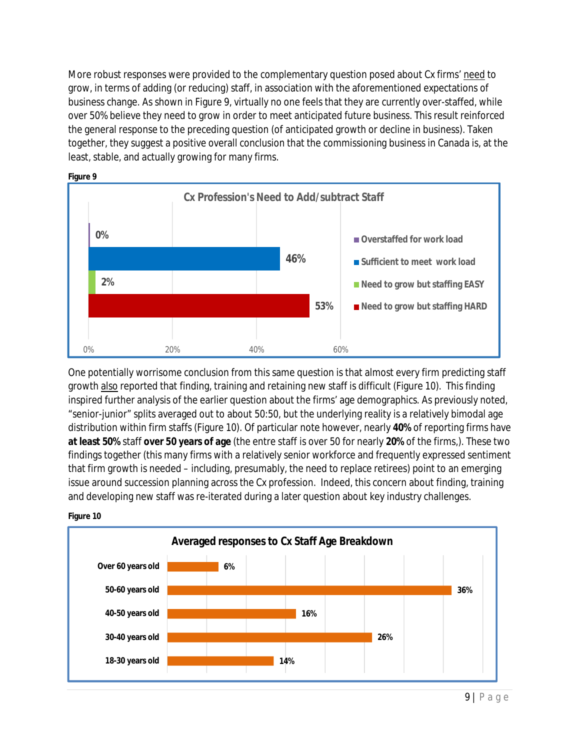More robust responses were provided to the complementary question posed about Cx firms' need to grow, in terms of adding (or reducing) staff, in association with the aforementioned expectations of business change. As shown in Figure 9, virtually no one feels that they are currently over-staffed, while over 50% believe they need to grow in order to meet anticipated future business. This result reinforced the general response to the preceding question (of anticipated growth or decline in business). Taken together, they suggest a positive overall conclusion that the commissioning business in Canada is, at the least, stable, and actually growing for many firms.



One potentially worrisome conclusion from this same question is that almost every firm predicting staff growth also reported that finding, training and retaining new staff is difficult (Figure 10). This finding inspired further analysis of the earlier question about the firms' age demographics. As previously noted, "senior-junior" splits averaged out to about 50:50, but the underlying reality is a relatively bimodal age distribution within firm staffs (Figure 10). Of particular note however, nearly **40%** of reporting firms have **at least 50%** staff **over 50 years of age** (the entre staff is over 50 for nearly **20%** of the firms,). These two findings together (this many firms with a relatively senior workforce and frequently expressed sentiment that firm growth is needed – including, presumably, the need to replace retirees) point to an emerging issue around succession planning across the Cx profession. Indeed, this concern about finding, training and developing new staff was re-iterated during a later question about key industry challenges.



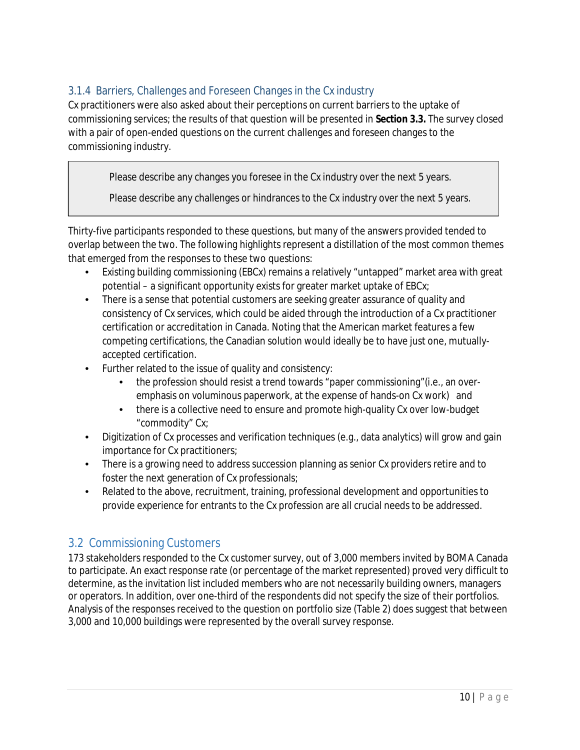## 3.1.4 Barriers, Challenges and Foreseen Changes in the Cx industry

Cx practitioners were also asked about their perceptions on current barriers to the uptake of commissioning services; the results of that question will be presented in **Section 3.3.** The survey closed with a pair of open-ended questions on the current challenges and foreseen changes to the commissioning industry.

Please describe any changes you foresee in the Cx industry over the next 5 years.

Please describe any challenges or hindrances to the Cx industry over the next 5 years.

Thirty-five participants responded to these questions, but many of the answers provided tended to overlap between the two. The following highlights represent a distillation of the most common themes that emerged from the responses to these two questions:

- Existing building commissioning (EBCx) remains a relatively "untapped" market area with great potential – a significant opportunity exists for greater market uptake of EBCx;
- There is a sense that potential customers are seeking greater assurance of quality and consistency of Cx services, which could be aided through the introduction of a Cx practitioner certification or accreditation in Canada. Noting that the American market features a few competing certifications, the Canadian solution would ideally be to have just one, mutuallyaccepted certification.
- Further related to the issue of quality and consistency:
	- the profession should resist a trend towards "paper commissioning"(i.e., an overemphasis on voluminous paperwork, at the expense of hands-on Cx work) and
	- there is a collective need to ensure and promote high-quality Cx over low-budget "commodity" Cx;
- Digitization of Cx processes and verification techniques (e.g., data analytics) will grow and gain importance for Cx practitioners;
- There is a growing need to address succession planning as senior Cx providers retire and to foster the next generation of Cx professionals;
- Related to the above, recruitment, training, professional development and opportunities to provide experience for entrants to the Cx profession are all crucial needs to be addressed.

## 3.2 Commissioning Customers

173 stakeholders responded to the Cx customer survey, out of 3,000 members invited by BOMA Canada to participate. An exact response rate (or percentage of the market represented) proved very difficult to determine, as the invitation list included members who are not necessarily building owners, managers or operators. In addition, over one-third of the respondents did not specify the size of their portfolios. Analysis of the responses received to the question on portfolio size (Table 2) does suggest that between 3,000 and 10,000 buildings were represented by the overall survey response.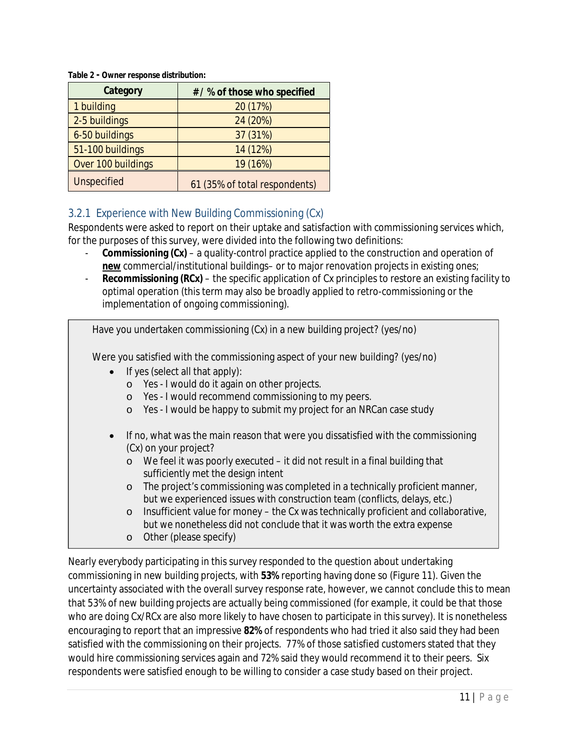| Category           | # / % of those who specified  |
|--------------------|-------------------------------|
| 1 building         | 20 (17%)                      |
| 2-5 buildings      | 24 (20%)                      |
| 6-50 buildings     | 37 (31%)                      |
| 51-100 buildings   | 14 (12%)                      |
| Over 100 buildings | 19 (16%)                      |
| <b>Unspecified</b> | 61 (35% of total respondents) |

#### **Table 2 - Owner response distribution:**

#### 3.2.1 Experience with New Building Commissioning (Cx)

Respondents were asked to report on their uptake and satisfaction with commissioning services which, for the purposes of this survey, were divided into the following two definitions:

- **Commissioning (Cx)** a quality-control practice applied to the construction and operation of **new** commercial/institutional buildings– or to major renovation projects in existing ones;
- **Recommissioning (RCx)** the specific application of Cx principles to restore an existing facility to optimal operation (this term may also be broadly applied to retro-commissioning or the implementation of ongoing commissioning).

Have you undertaken commissioning (Cx) in a new building project? (yes/no)

Were you satisfied with the commissioning aspect of your new building? (yes/no)

- $\bullet$  If yes (select all that apply):
	- o Yes I would do it again on other projects.
	- o Yes I would recommend commissioning to my peers.
	- o Yes I would be happy to submit my project for an NRCan case study
- If no, what was the main reason that were you dissatisfied with the commissioning (Cx) on your project?
	- o We feel it was poorly executed it did not result in a final building that sufficiently met the design intent
	- o The project's commissioning was completed in a technically proficient manner, but we experienced issues with construction team (conflicts, delays, etc.)
	- $\circ$  Insufficient value for money the Cx was technically proficient and collaborative, but we nonetheless did not conclude that it was worth the extra expense
	- o Other (please specify)

Nearly everybody participating in this survey responded to the question about undertaking commissioning in new building projects, with **53%** reporting having done so (Figure 11). Given the uncertainty associated with the overall survey response rate, however, we cannot conclude this to mean that 53% of new building projects are actually being commissioned (for example, it could be that those who are doing Cx/RCx are also more likely to have chosen to participate in this survey). It is nonetheless encouraging to report that an impressive **82%** of respondents who had tried it also said they had been satisfied with the commissioning on their projects. 77% of those satisfied customers stated that they would hire commissioning services again and 72% said they would recommend it to their peers. Six respondents were satisfied enough to be willing to consider a case study based on their project.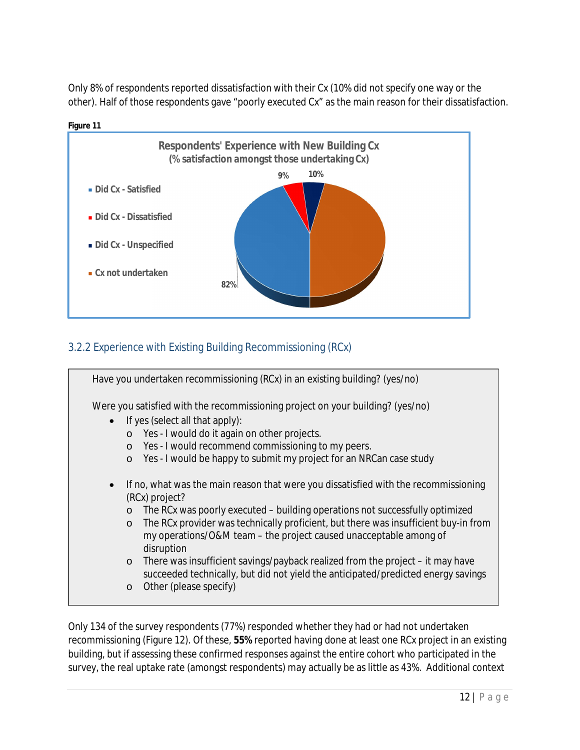Only 8% of respondents reported dissatisfaction with their Cx (10% did not specify one way or the other). Half of those respondents gave "poorly executed Cx" as the main reason for their dissatisfaction.



## 3.2.2 Experience with Existing Building Recommissioning (RCx)



Only 134 of the survey respondents (77%) responded whether they had or had not undertaken recommissioning (Figure 12). Of these, **55%** reported having done at least one RCx project in an existing building, but if assessing these confirmed responses against the entire cohort who participated in the survey, the real uptake rate (amongst respondents) may actually be as little as 43%. Additional context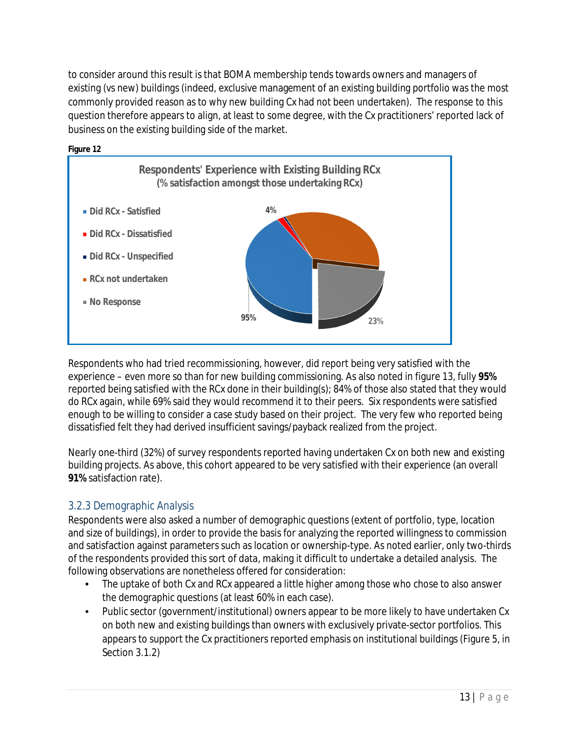to consider around this result is that BOMA membership tends towards owners and managers of existing (vs new) buildings (indeed, exclusive management of an existing building portfolio was the most commonly provided reason as to why new building Cx had not been undertaken). The response to this question therefore appears to align, at least to some degree, with the Cx practitioners' reported lack of business on the existing building side of the market.



Respondents who had tried recommissioning, however, did report being very satisfied with the experience – even more so than for new building commissioning. As also noted in figure 13, fully **95%** reported being satisfied with the RCx done in their building(s); 84% of those also stated that they would do RCx again, while 69% said they would recommend it to their peers. Six respondents were satisfied enough to be willing to consider a case study based on their project. The very few who reported being dissatisfied felt they had derived insufficient savings/payback realized from the project.

Nearly one-third (32%) of survey respondents reported having undertaken Cx on both new and existing building projects. As above, this cohort appeared to be very satisfied with their experience (an overall **91%** satisfaction rate).

## 3.2.3 Demographic Analysis

Respondents were also asked a number of demographic questions (extent of portfolio, type, location and size of buildings), in order to provide the basis for analyzing the reported willingness to commission and satisfaction against parameters such as location or ownership-type. As noted earlier, only two-thirds of the respondents provided this sort of data, making it difficult to undertake a detailed analysis. The following observations are nonetheless offered for consideration:

- The uptake of both Cx and RCx appeared a little higher among those who chose to also answer the demographic questions (at least 60% in each case).
- Public sector (government/institutional) owners appear to be more likely to have undertaken Cx on both new and existing buildings than owners with exclusively private-sector portfolios. This appears to support the Cx practitioners reported emphasis on institutional buildings (Figure 5, in Section 3.1.2)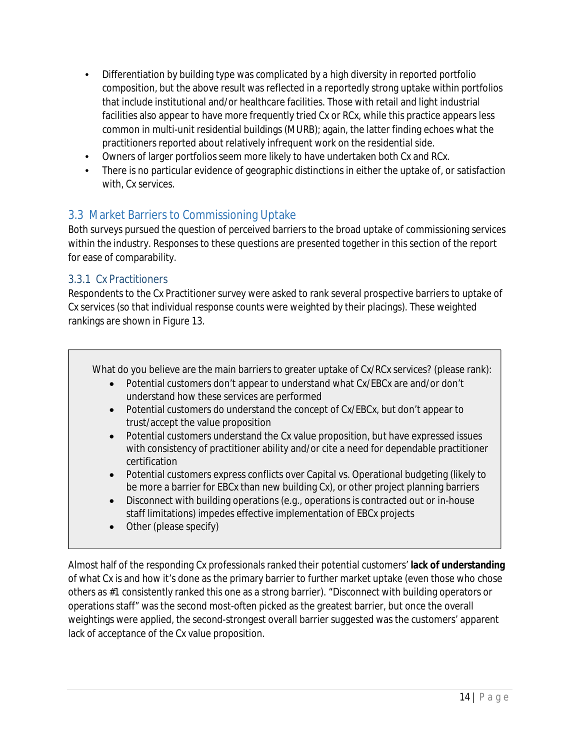- Differentiation by building type was complicated by a high diversity in reported portfolio composition, but the above result was reflected in a reportedly strong uptake within portfolios that include institutional and/or healthcare facilities. Those with retail and light industrial facilities also appear to have more frequently tried Cx or RCx, while this practice appears less common in multi-unit residential buildings (MURB); again, the latter finding echoes what the practitioners reported about relatively infrequent work on the residential side.
- Owners of larger portfolios seem more likely to have undertaken both Cx and RCx.
- There is no particular evidence of geographic distinctions in either the uptake of, or satisfaction with, Cx services.

## 3.3 Market Barriers to Commissioning Uptake

Both surveys pursued the question of perceived barriers to the broad uptake of commissioning services within the industry. Responses to these questions are presented together in this section of the report for ease of comparability.

#### 3.3.1 Cx Practitioners

Respondents to the Cx Practitioner survey were asked to rank several prospective barriers to uptake of Cx services (so that individual response counts were weighted by their placings). These weighted rankings are shown in Figure 13.

What do you believe are the main barriers to greater uptake of Cx/RCx services? (please rank):

- Potential customers don't appear to understand what Cx/EBCx are and/or don't understand how these services are performed
- Potential customers do understand the concept of Cx/EBCx, but don't appear to trust/accept the value proposition
- Potential customers understand the Cx value proposition, but have expressed issues with consistency of practitioner ability and/or cite a need for dependable practitioner certification
- Potential customers express conflicts over Capital vs. Operational budgeting (likely to be more a barrier for EBCx than new building Cx), or other project planning barriers
- Disconnect with building operations (e.g., operations is contracted out or in-house staff limitations) impedes effective implementation of EBCx projects
- Other (please specify)

Almost half of the responding Cx professionals ranked their potential customers' **lack of understanding**  of what Cx is and how it's done as the primary barrier to further market uptake (even those who chose others as #1 consistently ranked this one as a strong barrier). "Disconnect with building operators or operations staff" was the second most-often picked as the greatest barrier, but once the overall weightings were applied, the second-strongest overall barrier suggested was the customers' apparent lack of acceptance of the Cx value proposition.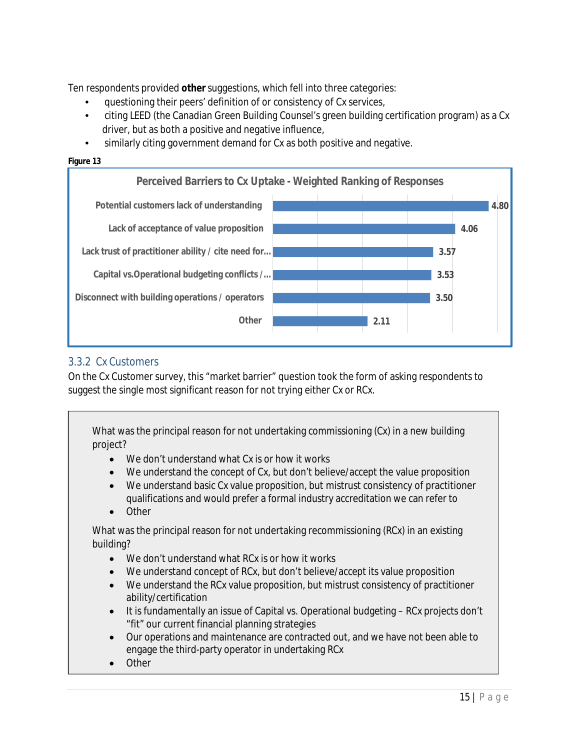Ten respondents provided **other** suggestions, which fell into three categories:

- questioning their peers' definition of or consistency of Cx services,
- citing LEED (the Canadian Green Building Counsel's green building certification program) as a Cx driver, but as both a positive and negative influence,
- similarly citing government demand for Cx as both positive and negative.





## 3.3.2 Cx Customers

On the Cx Customer survey, this "market barrier" question took the form of asking respondents to suggest the single most significant reason for not trying either Cx or RCx.

What was the principal reason for not undertaking commissioning (Cx) in a new building project?

- We don't understand what Cx is or how it works
- We understand the concept of Cx, but don't believe/accept the value proposition
- We understand basic Cx value proposition, but mistrust consistency of practitioner qualifications and would prefer a formal industry accreditation we can refer to
- Other

What was the principal reason for not undertaking recommissioning (RCx) in an existing building?

- We don't understand what RCx is or how it works
- We understand concept of RCx, but don't believe/accept its value proposition
- We understand the RCx value proposition, but mistrust consistency of practitioner ability/certification
- It is fundamentally an issue of Capital vs. Operational budgeting RCx projects don't "fit" our current financial planning strategies
- Our operations and maintenance are contracted out, and we have not been able to engage the third-party operator in undertaking RCx
- **Other**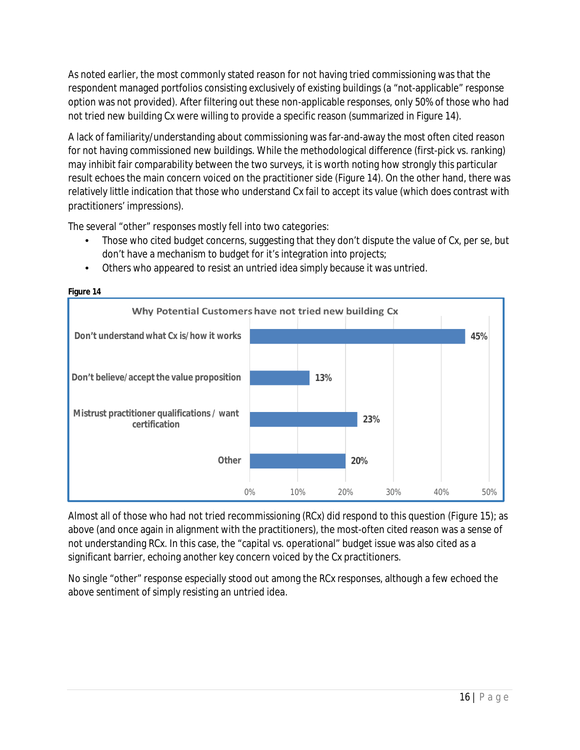As noted earlier, the most commonly stated reason for not having tried commissioning was that the respondent managed portfolios consisting exclusively of existing buildings (a "not-applicable" response option was not provided). After filtering out these non-applicable responses, only 50% of those who had not tried new building Cx were willing to provide a specific reason (summarized in Figure 14).

A lack of familiarity/understanding about commissioning was far-and-away the most often cited reason for not having commissioned new buildings. While the methodological difference (first-pick vs. ranking) may inhibit fair comparability between the two surveys, it is worth noting how strongly this particular result echoes the main concern voiced on the practitioner side (Figure 14). On the other hand, there was relatively little indication that those who understand Cx fail to accept its value (which does contrast with practitioners' impressions).

The several "other" responses mostly fell into two categories:

- Those who cited budget concerns, suggesting that they don't dispute the value of Cx, per se, but don't have a mechanism to budget for it's integration into projects;
- Others who appeared to resist an untried idea simply because it was untried.



**Figure 14**

Almost all of those who had not tried recommissioning (RCx) did respond to this question (Figure 15); as above (and once again in alignment with the practitioners), the most-often cited reason was a sense of not understanding RCx. In this case, the "capital vs. operational" budget issue was also cited as a significant barrier, echoing another key concern voiced by the Cx practitioners.

No single "other" response especially stood out among the RCx responses, although a few echoed the above sentiment of simply resisting an untried idea.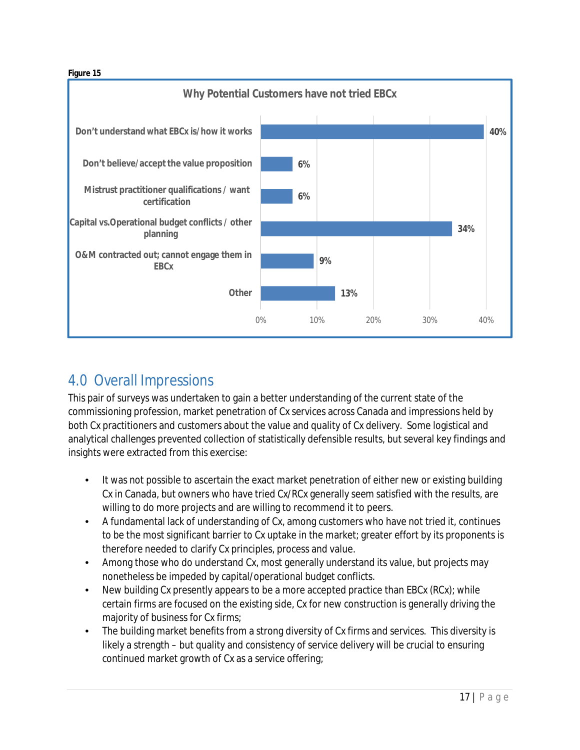#### **Figure 15**



# 4.0 Overall Impressions

This pair of surveys was undertaken to gain a better understanding of the current state of the commissioning profession, market penetration of Cx services across Canada and impressions held by both Cx practitioners and customers about the value and quality of Cx delivery. Some logistical and analytical challenges prevented collection of statistically defensible results, but several key findings and insights were extracted from this exercise:

- It was not possible to ascertain the exact market penetration of either new or existing building Cx in Canada, but owners who have tried Cx/RCx generally seem satisfied with the results, are willing to do more projects and are willing to recommend it to peers.
- A fundamental lack of understanding of Cx, among customers who have not tried it, continues to be the most significant barrier to Cx uptake in the market; greater effort by its proponents is therefore needed to clarify Cx principles, process and value.
- Among those who do understand Cx, most generally understand its value, but projects may nonetheless be impeded by capital/operational budget conflicts.
- New building Cx presently appears to be a more accepted practice than EBCx (RCx); while certain firms are focused on the existing side, Cx for new construction is generally driving the majority of business for Cx firms;
- The building market benefits from a strong diversity of Cx firms and services. This diversity is likely a strength – but quality and consistency of service delivery will be crucial to ensuring continued market growth of Cx as a service offering;